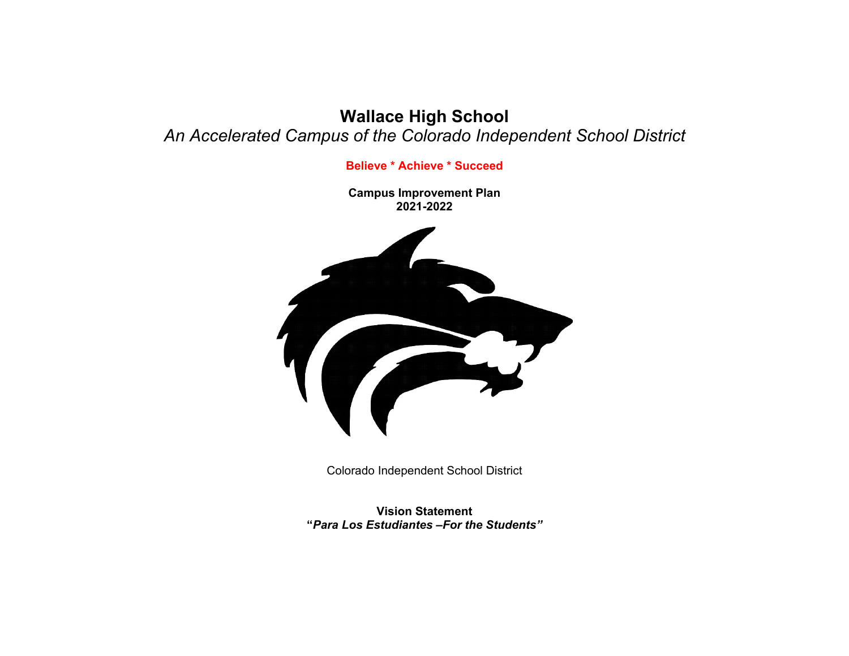# **Wallace High School** *An Accelerated Campus of the Colorado Independent School District*

**Believe \* Achieve \* Succeed**

**Campus Improvement Plan 2021-2022**



Colorado Independent School District

**Vision Statement "***Para Los Estudiantes –For the Students"*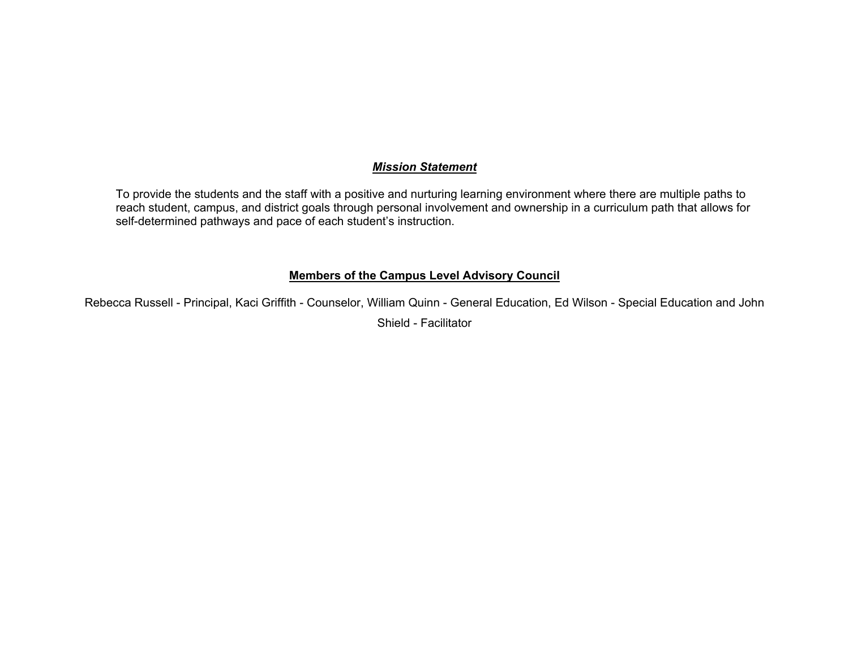## *Mission Statement*

To provide the students and the staff with a positive and nurturing learning environment where there are multiple paths to reach student, campus, and district goals through personal involvement and ownership in a curriculum path that allows for self-determined pathways and pace of each student's instruction.

## **Members of the Campus Level Advisory Council**

Rebecca Russell - Principal, Kaci Griffith - Counselor, William Quinn - General Education, Ed Wilson - Special Education and John Shield - Facilitator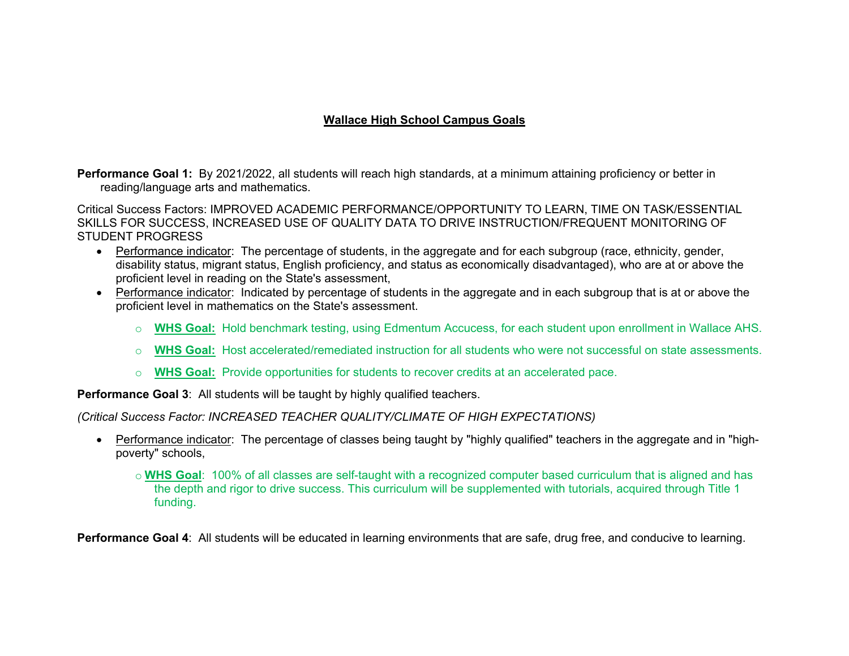# **Wallace High School Campus Goals**

**Performance Goal 1:** By 2021/2022, all students will reach high standards, at a minimum attaining proficiency or better in reading/language arts and mathematics.

Critical Success Factors: IMPROVED ACADEMIC PERFORMANCE/OPPORTUNITY TO LEARN, TIME ON TASK/ESSENTIAL SKILLS FOR SUCCESS, INCREASED USE OF QUALITY DATA TO DRIVE INSTRUCTION/FREQUENT MONITORING OF STUDENT PROGRESS

- Performance indicator: The percentage of students, in the aggregate and for each subgroup (race, ethnicity, gender, disability status, migrant status, English proficiency, and status as economically disadvantaged), who are at or above the proficient level in reading on the State's assessment,
- Performance indicator: Indicated by percentage of students in the aggregate and in each subgroup that is at or above the proficient level in mathematics on the State's assessment.
	- o **WHS Goal:** Hold benchmark testing, using Edmentum Accucess, for each student upon enrollment in Wallace AHS.
	- o **WHS Goal:** Host accelerated/remediated instruction for all students who were not successful on state assessments.
	- o **WHS Goal:** Provide opportunities for students to recover credits at an accelerated pace.

**Performance Goal 3**: All students will be taught by highly qualified teachers.

*(Critical Success Factor: INCREASED TEACHER QUALITY/CLIMATE OF HIGH EXPECTATIONS)*

 Performance indicator: The percentage of classes being taught by "highly qualified" teachers in the aggregate and in "highpoverty" schools,

o **WHS Goal**: 100% of all classes are self-taught with a recognized computer based curriculum that is aligned and has the depth and rigor to drive success. This curriculum will be supplemented with tutorials, acquired through Title 1 funding.

**Performance Goal 4**: All students will be educated in learning environments that are safe, drug free, and conducive to learning.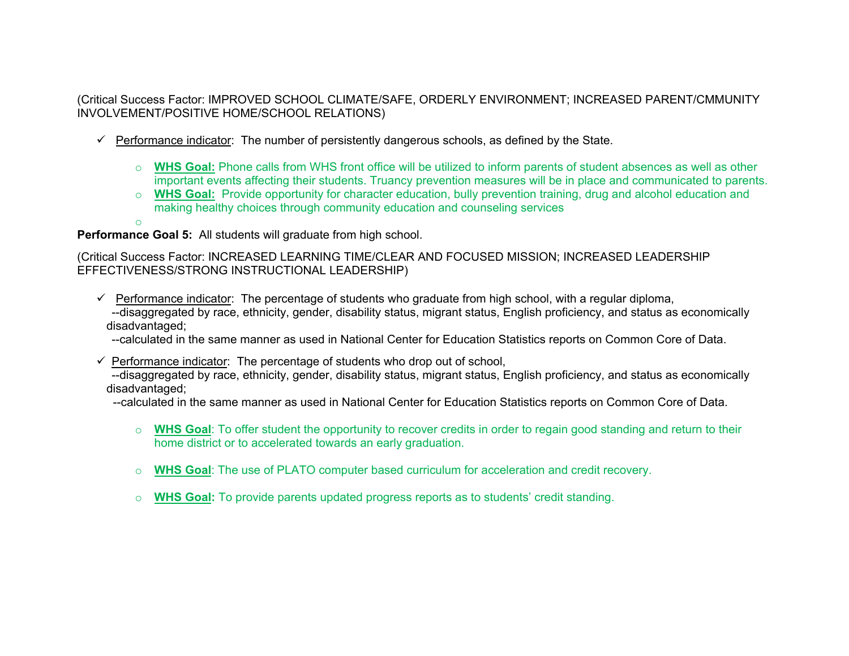(Critical Success Factor: IMPROVED SCHOOL CLIMATE/SAFE, ORDERLY ENVIRONMENT; INCREASED PARENT/CMMUNITY INVOLVEMENT/POSITIVE HOME/SCHOOL RELATIONS)

- $\checkmark$  Performance indicator: The number of persistently dangerous schools, as defined by the State.
	- o **WHS Goal:** Phone calls from WHS front office will be utilized to inform parents of student absences as well as other important events affecting their students. Truancy prevention measures will be in place and communicated to parents.
	- o **WHS Goal:** Provide opportunity for character education, bully prevention training, drug and alcohol education and making healthy choices through community education and counseling services
	- o

**Performance Goal 5:** All students will graduate from high school.

(Critical Success Factor: INCREASED LEARNING TIME/CLEAR AND FOCUSED MISSION; INCREASED LEADERSHIP EFFECTIVENESS/STRONG INSTRUCTIONAL LEADERSHIP)

- $\checkmark$  Performance indicator: The percentage of students who graduate from high school, with a regular diploma, --disaggregated by race, ethnicity, gender, disability status, migrant status, English proficiency, and status as economically disadvantaged;
	- --calculated in the same manner as used in National Center for Education Statistics reports on Common Core of Data.
- $\checkmark$  Performance indicator: The percentage of students who drop out of school,

--disaggregated by race, ethnicity, gender, disability status, migrant status, English proficiency, and status as economically disadvantaged;

--calculated in the same manner as used in National Center for Education Statistics reports on Common Core of Data.

- o **WHS Goal**: To offer student the opportunity to recover credits in order to regain good standing and return to their home district or to accelerated towards an early graduation.
- o **WHS Goal**: The use of PLATO computer based curriculum for acceleration and credit recovery.
- o **WHS Goal:** To provide parents updated progress reports as to students' credit standing.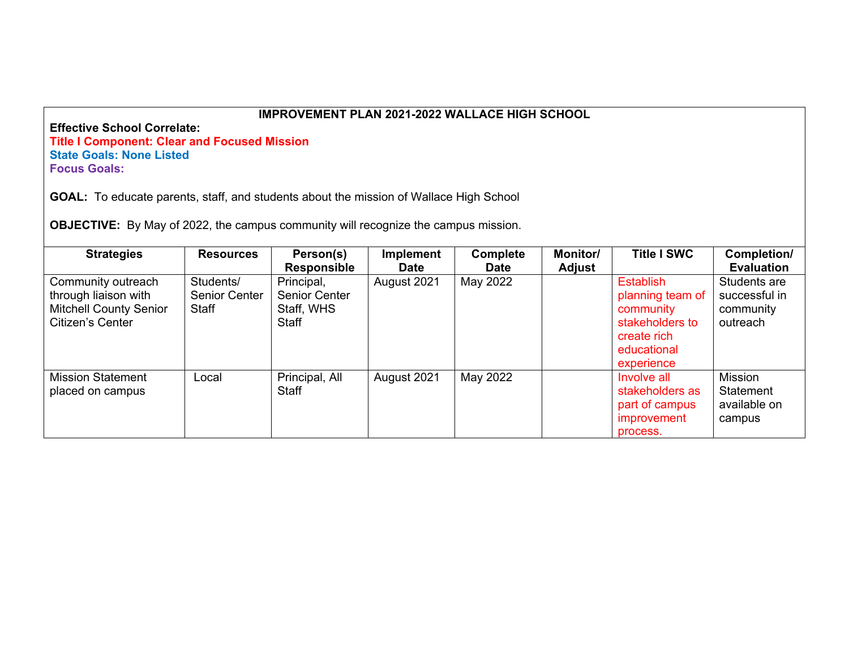**Effective School Correlate: Title I Component: Clear and Focused Mission State Goals: None Listed Focus Goals:**

**GOAL:** To educate parents, staff, and students about the mission of Wallace High School

**OBJECTIVE:** By May of 2022, the campus community will recognize the campus mission.

| <b>Strategies</b>                                                                               | <b>Resources</b>                    | Person(s)<br><b>Responsible</b>                    | <b>Implement</b><br><b>Date</b> | <b>Complete</b><br><b>Date</b> | <b>Monitor/</b><br><b>Adjust</b> | <b>Title I SWC</b>                                                                                               | Completion/<br><b>Evaluation</b>                       |
|-------------------------------------------------------------------------------------------------|-------------------------------------|----------------------------------------------------|---------------------------------|--------------------------------|----------------------------------|------------------------------------------------------------------------------------------------------------------|--------------------------------------------------------|
| Community outreach<br>through liaison with<br><b>Mitchell County Senior</b><br>Citizen's Center | Students/<br>Senior Center<br>Staff | Principal,<br>Senior Center<br>Staff, WHS<br>Staff | August 2021                     | May 2022                       |                                  | <b>Establish</b><br>planning team of<br>community<br>stakeholders to<br>create rich<br>educational<br>experience | Students are<br>successful in<br>community<br>outreach |
| <b>Mission Statement</b><br>placed on campus                                                    | Local                               | Principal, All<br><b>Staff</b>                     | August 2021                     | May 2022                       |                                  | Involve all<br>stakeholders as<br>part of campus<br>improvement<br>process.                                      | Mission<br>Statement<br>available on<br>campus         |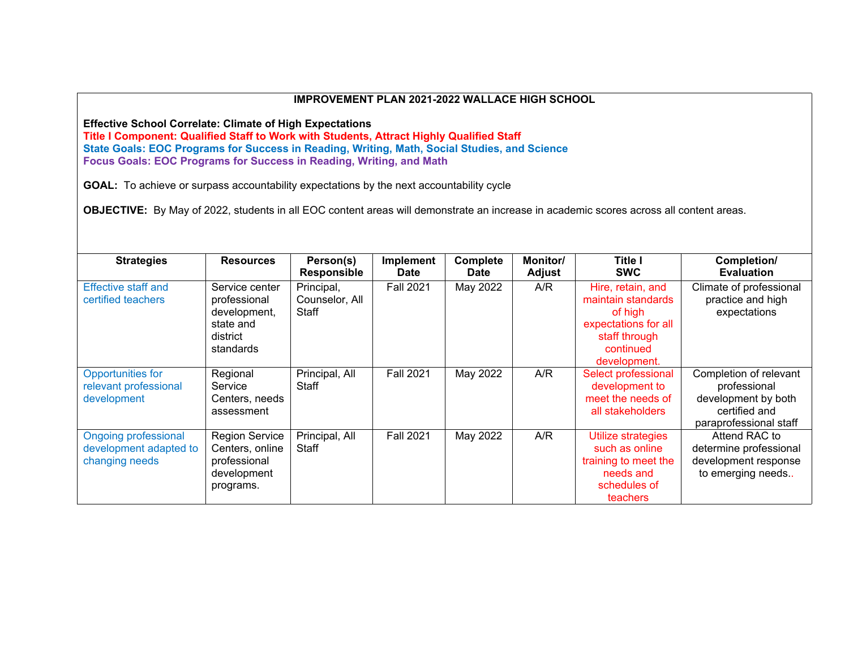**Effective School Correlate: Climate of High Expectations**

**Title I Component: Qualified Staff to Work with Students, Attract Highly Qualified Staff State Goals: EOC Programs for Success in Reading, Writing, Math, Social Studies, and Science Focus Goals: EOC Programs for Success in Reading, Writing, and Math**

**GOAL:** To achieve or surpass accountability expectations by the next accountability cycle

**OBJECTIVE:** By May of 2022, students in all EOC content areas will demonstrate an increase in academic scores across all content areas.

| <b>Strategies</b>                                                       | <b>Resources</b>                                                                     | Person(s)<br><b>Responsible</b>       | Implement<br><b>Date</b> | Complete<br><b>Date</b> | Monitor/<br>Adjust | <b>Title I</b><br><b>SWC</b>                                                                                             | Completion/<br><b>Evaluation</b>                                                                         |
|-------------------------------------------------------------------------|--------------------------------------------------------------------------------------|---------------------------------------|--------------------------|-------------------------|--------------------|--------------------------------------------------------------------------------------------------------------------------|----------------------------------------------------------------------------------------------------------|
| <b>Effective staff and</b><br>certified teachers                        | Service center<br>professional<br>development,<br>state and<br>district<br>standards | Principal,<br>Counselor, All<br>Staff | <b>Fall 2021</b>         | May 2022                | A/R                | Hire, retain, and<br>maintain standards<br>of high<br>expectations for all<br>staff through<br>continued<br>development. | Climate of professional<br>practice and high<br>expectations                                             |
| <b>Opportunities for</b><br>relevant professional<br>development        | Regional<br>Service<br>Centers, needs<br>assessment                                  | Principal, All<br>Staff               | <b>Fall 2021</b>         | May 2022                | A/R                | Select professional<br>development to<br>meet the needs of<br>all stakeholders                                           | Completion of relevant<br>professional<br>development by both<br>certified and<br>paraprofessional staff |
| <b>Ongoing professional</b><br>development adapted to<br>changing needs | <b>Region Service</b><br>Centers, online<br>professional<br>development<br>programs. | Principal, All<br>Staff               | <b>Fall 2021</b>         | May 2022                | A/R                | Utilize strategies<br>such as online<br>training to meet the<br>needs and<br>schedules of<br>teachers                    | Attend RAC to<br>determine professional<br>development response<br>to emerging needs                     |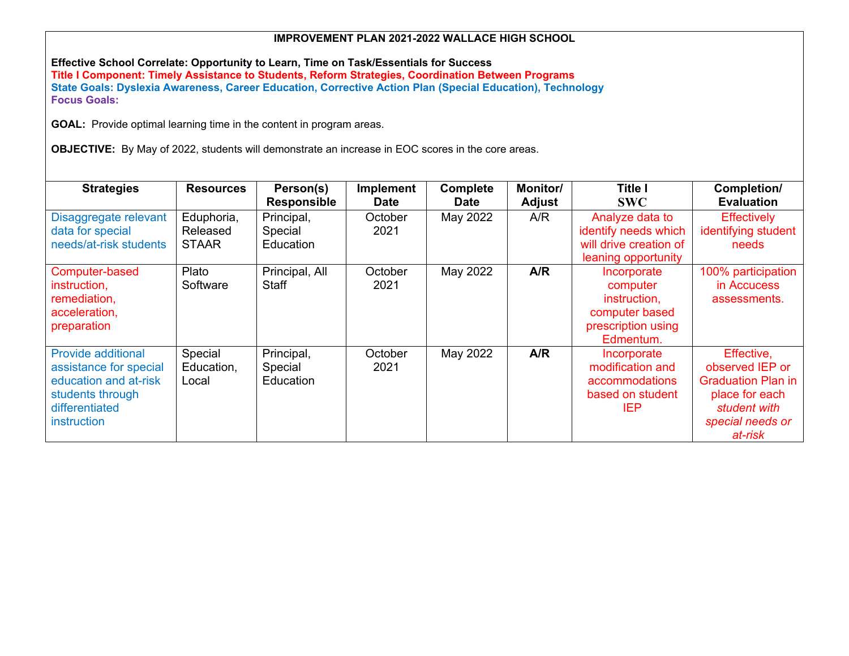**Effective School Correlate: Opportunity to Learn, Time on Task/Essentials for Success Title I Component: Timely Assistance to Students, Reform Strategies, Coordination Between Programs State Goals: Dyslexia Awareness, Career Education, Corrective Action Plan (Special Education), Technology Focus Goals:**

**GOAL:** Provide optimal learning time in the content in program areas.

**OBJECTIVE:** By May of 2022, students will demonstrate an increase in EOC scores in the core areas.

| <b>Strategies</b>                                                                                                                 | <b>Resources</b>                       | Person(s)<br><b>Responsible</b>    | Implement<br><b>Date</b> | Complete<br><b>Date</b> | <b>Monitor/</b><br>Adjust | <b>Title I</b><br><b>SWC</b>                                                                 | Completion/<br><b>Evaluation</b>                                                                                            |
|-----------------------------------------------------------------------------------------------------------------------------------|----------------------------------------|------------------------------------|--------------------------|-------------------------|---------------------------|----------------------------------------------------------------------------------------------|-----------------------------------------------------------------------------------------------------------------------------|
| Disaggregate relevant<br>data for special<br>needs/at-risk students                                                               | Eduphoria,<br>Released<br><b>STAAR</b> | Principal,<br>Special<br>Education | October<br>2021          | May 2022                | A/R                       | Analyze data to<br>identify needs which<br>will drive creation of<br>leaning opportunity     | <b>Effectively</b><br>identifying student<br>needs                                                                          |
| Computer-based<br>instruction,<br>remediation,<br>acceleration,<br>preparation                                                    | Plato<br>Software                      | Principal, All<br>Staff            | October<br>2021          | May 2022                | A/R                       | Incorporate<br>computer<br>instruction.<br>computer based<br>prescription using<br>Edmentum. | 100% participation<br>in Accucess<br>assessments.                                                                           |
| <b>Provide additional</b><br>assistance for special<br>education and at-risk<br>students through<br>differentiated<br>instruction | Special<br>Education,<br>Local         | Principal,<br>Special<br>Education | October<br>2021          | May 2022                | A/R                       | Incorporate<br>modification and<br>accommodations<br>based on student<br><b>IEP</b>          | Effective,<br>observed IEP or<br><b>Graduation Plan in</b><br>place for each<br>student with<br>special needs or<br>at-risk |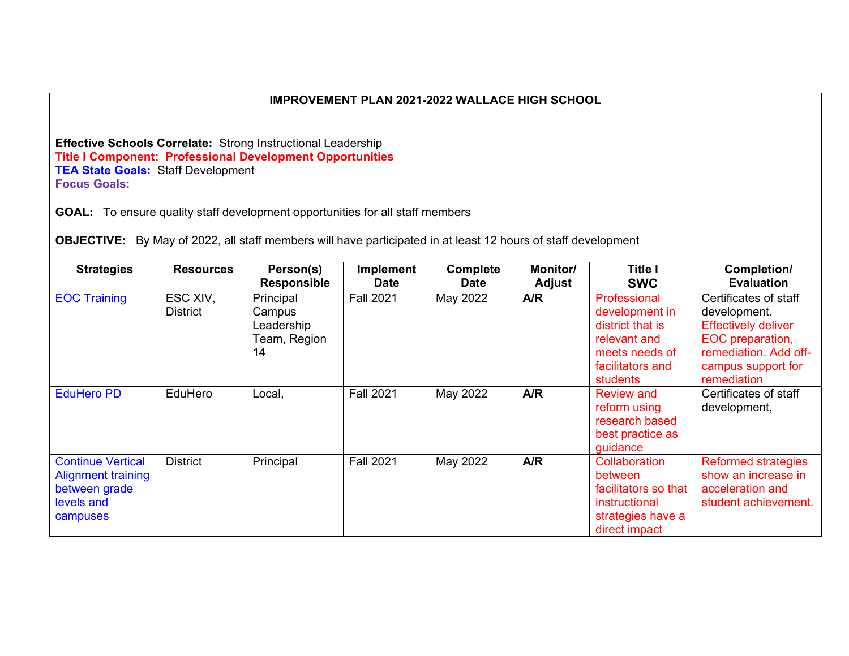**Effective Schools Correlate:** Strong Instructional Leadership **Title I Component: Professional Development Opportunities TEA State Goals:** Staff Development **Focus Goals:** 

**GOAL:** To ensure quality staff development opportunities for all staff members

**OBJECTIVE:** By May of 2022, all staff members will have participated in at least 12 hours of staff development

| <b>Strategies</b>                                                                                | <b>Resources</b>            | Person(s)<br><b>Responsible</b>                         | Implement<br><b>Date</b> | <b>Complete</b><br><b>Date</b> | Monitor/<br>Adjust | Title I<br><b>SWC</b>                                                                                                | Completion/<br><b>Evaluation</b>                                                                                                                      |
|--------------------------------------------------------------------------------------------------|-----------------------------|---------------------------------------------------------|--------------------------|--------------------------------|--------------------|----------------------------------------------------------------------------------------------------------------------|-------------------------------------------------------------------------------------------------------------------------------------------------------|
| <b>EOC Training</b>                                                                              | ESC XIV,<br><b>District</b> | Principal<br>Campus<br>Leadership<br>Team, Region<br>14 | <b>Fall 2021</b>         | May 2022                       | A/R                | Professional<br>development in<br>district that is<br>relevant and<br>meets needs of<br>facilitators and<br>students | Certificates of staff<br>development.<br><b>Effectively deliver</b><br>EOC preparation,<br>remediation. Add off-<br>campus support for<br>remediation |
| <b>EduHero PD</b>                                                                                | EduHero                     | Local,                                                  | <b>Fall 2021</b>         | May 2022                       | A/R                | <b>Review and</b><br>reform using<br>research based<br>best practice as<br>guidance                                  | Certificates of staff<br>development,                                                                                                                 |
| <b>Continue Vertical</b><br><b>Alignment training</b><br>between grade<br>levels and<br>campuses | <b>District</b>             | Principal                                               | <b>Fall 2021</b>         | May 2022                       | A/R                | Collaboration<br>between<br>facilitators so that<br>instructional<br>strategies have a<br>direct impact              | <b>Reformed strategies</b><br>show an increase in<br>acceleration and<br>student achievement.                                                         |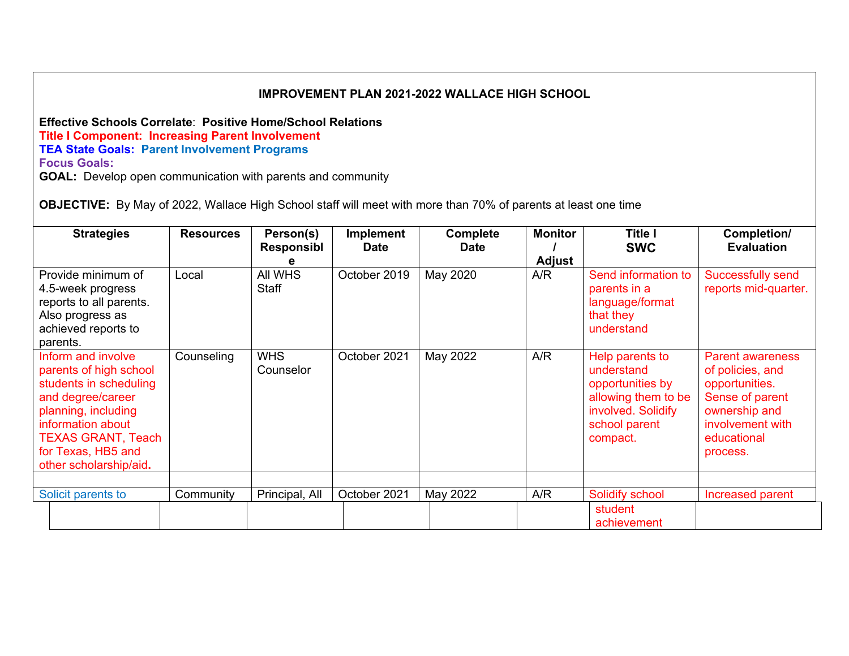**Effective Schools Correlate**: **Positive Home/School Relations Title I Component: Increasing Parent Involvement TEA State Goals: Parent Involvement Programs Focus Goals:** 

**GOAL:** Develop open communication with parents and community

**OBJECTIVE:** By May of 2022, Wallace High School staff will meet with more than 70% of parents at least one time

| <b>Strategies</b>                                                                                                                                                                                                    | <b>Resources</b> | Person(s)<br>Responsibl | <b>Implement</b><br><b>Date</b> | Complete<br><b>Date</b> | <b>Monitor</b><br><b>Adjust</b> | Title I<br><b>SWC</b>                                                                                                       | Completion/<br><b>Evaluation</b>                                                                                                                 |
|----------------------------------------------------------------------------------------------------------------------------------------------------------------------------------------------------------------------|------------------|-------------------------|---------------------------------|-------------------------|---------------------------------|-----------------------------------------------------------------------------------------------------------------------------|--------------------------------------------------------------------------------------------------------------------------------------------------|
| Provide minimum of<br>4.5-week progress<br>reports to all parents.<br>Also progress as<br>achieved reports to<br>parents.                                                                                            | Local            | All WHS<br><b>Staff</b> | October 2019                    | May 2020                | A/R                             | Send information to<br>parents in a<br>language/format<br>that they<br>understand                                           | <b>Successfully send</b><br>reports mid-quarter.                                                                                                 |
| Inform and involve<br>parents of high school<br>students in scheduling<br>and degree/career<br>planning, including<br>information about<br><b>TEXAS GRANT, Teach</b><br>for Texas, HB5 and<br>other scholarship/aid. | Counseling       | <b>WHS</b><br>Counselor | October 2021                    | May 2022                | A/R                             | Help parents to<br>understand<br>opportunities by<br>allowing them to be<br>involved. Solidify<br>school parent<br>compact. | <b>Parent awareness</b><br>of policies, and<br>opportunities.<br>Sense of parent<br>ownership and<br>involvement with<br>educational<br>process. |
| Solicit parents to                                                                                                                                                                                                   | Community        | Principal, All          | October 2021                    | May 2022                | A/R                             | Solidify school                                                                                                             | Increased parent                                                                                                                                 |
|                                                                                                                                                                                                                      |                  |                         |                                 |                         |                                 | student<br>achievement                                                                                                      |                                                                                                                                                  |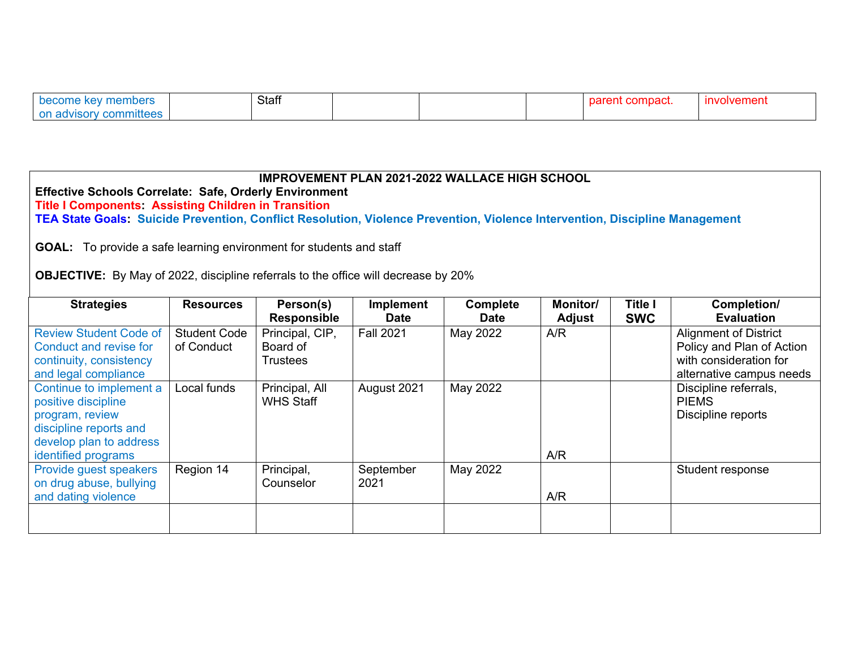| become key members     | Staff |  | parent compact. | <u>involvement</u> |
|------------------------|-------|--|-----------------|--------------------|
| on advisory committees |       |  |                 |                    |

| <b>IMPROVEMENT PLAN 2021-2022 WALLACE HIGH SCHOOL</b><br><b>Effective Schools Correlate: Safe, Orderly Environment</b><br><b>Title I Components: Assisting Children in Transition</b><br>TEA State Goals: Suicide Prevention, Conflict Resolution, Violence Prevention, Violence Intervention, Discipline Management<br><b>GOAL:</b> To provide a safe learning environment for students and staff<br><b>OBJECTIVE:</b> By May of 2022, discipline referrals to the office will decrease by 20% |                                   |                                                |                                 |                                |                           |                              |                                                                                                                 |  |  |  |  |
|-------------------------------------------------------------------------------------------------------------------------------------------------------------------------------------------------------------------------------------------------------------------------------------------------------------------------------------------------------------------------------------------------------------------------------------------------------------------------------------------------|-----------------------------------|------------------------------------------------|---------------------------------|--------------------------------|---------------------------|------------------------------|-----------------------------------------------------------------------------------------------------------------|--|--|--|--|
| <b>Strategies</b>                                                                                                                                                                                                                                                                                                                                                                                                                                                                               | <b>Resources</b>                  | Person(s)<br><b>Responsible</b>                | <b>Implement</b><br><b>Date</b> | <b>Complete</b><br><b>Date</b> | <b>Monitor/</b><br>Adjust | <b>Title I</b><br><b>SWC</b> | Completion/<br><b>Evaluation</b>                                                                                |  |  |  |  |
| <b>Review Student Code of</b><br>Conduct and revise for<br>continuity, consistency<br>and legal compliance                                                                                                                                                                                                                                                                                                                                                                                      | <b>Student Code</b><br>of Conduct | Principal, CIP,<br>Board of<br><b>Trustees</b> | <b>Fall 2021</b>                | May 2022                       | A/R                       |                              | <b>Alignment of District</b><br>Policy and Plan of Action<br>with consideration for<br>alternative campus needs |  |  |  |  |
| Continue to implement a<br>positive discipline<br>program, review<br>discipline reports and<br>develop plan to address<br>identified programs                                                                                                                                                                                                                                                                                                                                                   | Local funds                       | Principal, All<br><b>WHS Staff</b>             | August 2021                     | May 2022                       | A/R                       |                              | Discipline referrals,<br><b>PIEMS</b><br>Discipline reports                                                     |  |  |  |  |
| Provide guest speakers<br>on drug abuse, bullying<br>and dating violence                                                                                                                                                                                                                                                                                                                                                                                                                        | Region 14                         | Principal,<br>Counselor                        | September<br>2021               | May 2022                       | A/R                       |                              | Student response                                                                                                |  |  |  |  |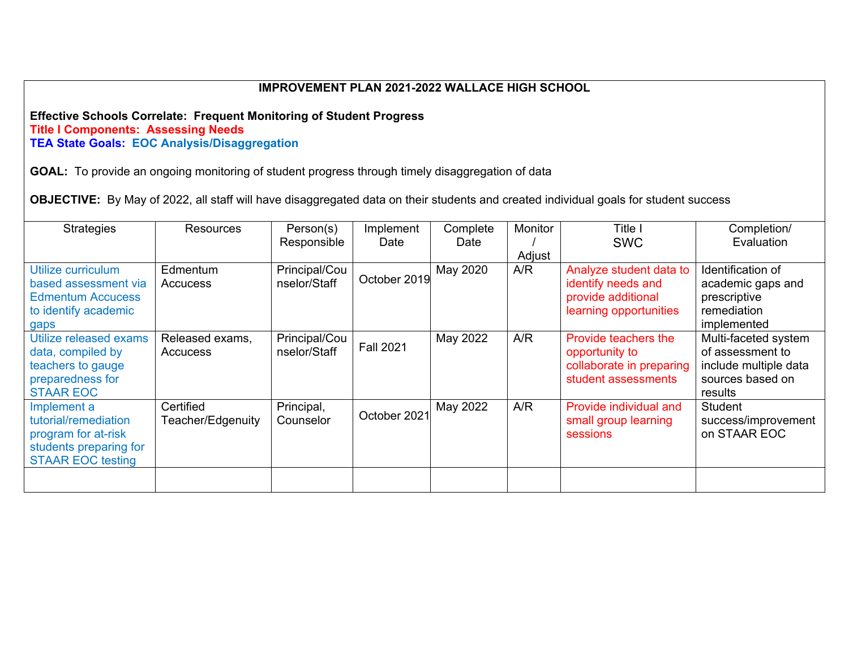#### **Effective Schools Correlate: Frequent Monitoring of Student Progress Title I Components: Assessing Needs TEA State Goals: EOC Analysis/Disaggregation**

**GOAL:** To provide an ongoing monitoring of student progress through timely disaggregation of data

**OBJECTIVE:** By May of 2022, all staff will have disaggregated data on their students and created individual goals for student success

| <b>Strategies</b>                                                                                                | <b>Resources</b>               | Person(s)<br>Responsible      | Implement<br>Date | Complete<br>Date | Monitor<br>Adjust | Title l<br><b>SWC</b>                                                                         | Completion/<br>Evaluation                                                                        |
|------------------------------------------------------------------------------------------------------------------|--------------------------------|-------------------------------|-------------------|------------------|-------------------|-----------------------------------------------------------------------------------------------|--------------------------------------------------------------------------------------------------|
| Utilize curriculum<br>based assessment via<br><b>Edmentum Accucess</b><br>to identify academic<br>gaps           | Edmentum<br>Accucess           | Principal/Cou<br>nselor/Staff | October 2019      | May 2020         | A/R               | Analyze student data to<br>identify needs and<br>provide additional<br>learning opportunities | Identification of<br>academic gaps and<br>prescriptive<br>remediation<br>implemented             |
| Utilize released exams<br>data, compiled by<br>teachers to gauge<br>preparedness for<br><b>STAAR EOC</b>         | Released exams,<br>Accucess    | Principal/Cou<br>nselor/Staff | <b>Fall 2021</b>  | May 2022         | A/R               | Provide teachers the<br>opportunity to<br>collaborate in preparing<br>student assessments     | Multi-faceted system<br>of assessment to<br>include multiple data<br>sources based on<br>results |
| Implement a<br>tutorial/remediation<br>program for at-risk<br>students preparing for<br><b>STAAR EOC testing</b> | Certified<br>Teacher/Edgenuity | Principal,<br>Counselor       | October 2021      | May 2022         | A/R               | Provide individual and<br>small group learning<br>sessions                                    | Student<br>success/improvement<br>on STAAR EOC                                                   |
|                                                                                                                  |                                |                               |                   |                  |                   |                                                                                               |                                                                                                  |